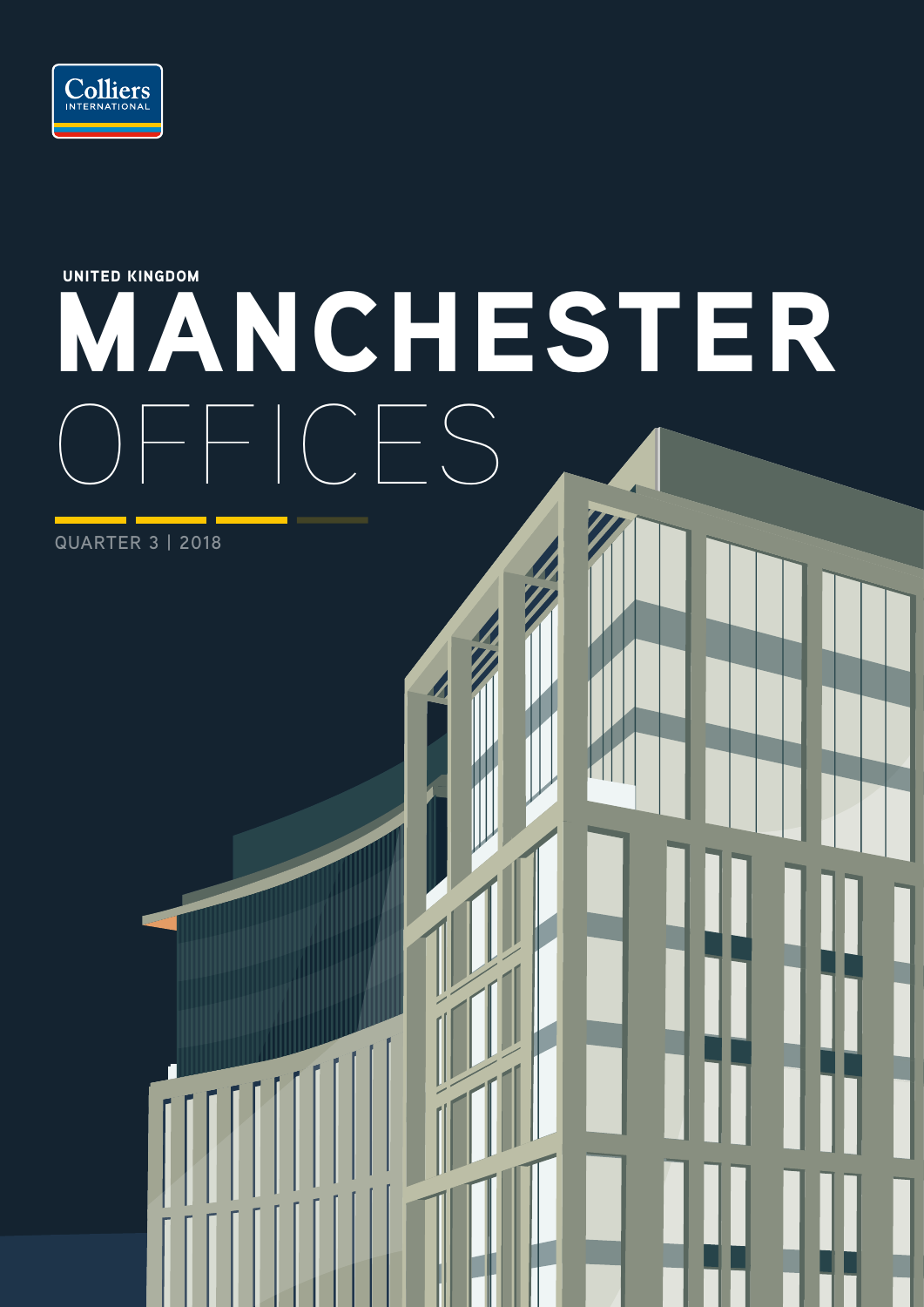

# MANCHESTER  $F_{\text{max}}$ UNITED KINGDOM

**QUARTER 3 | 2018**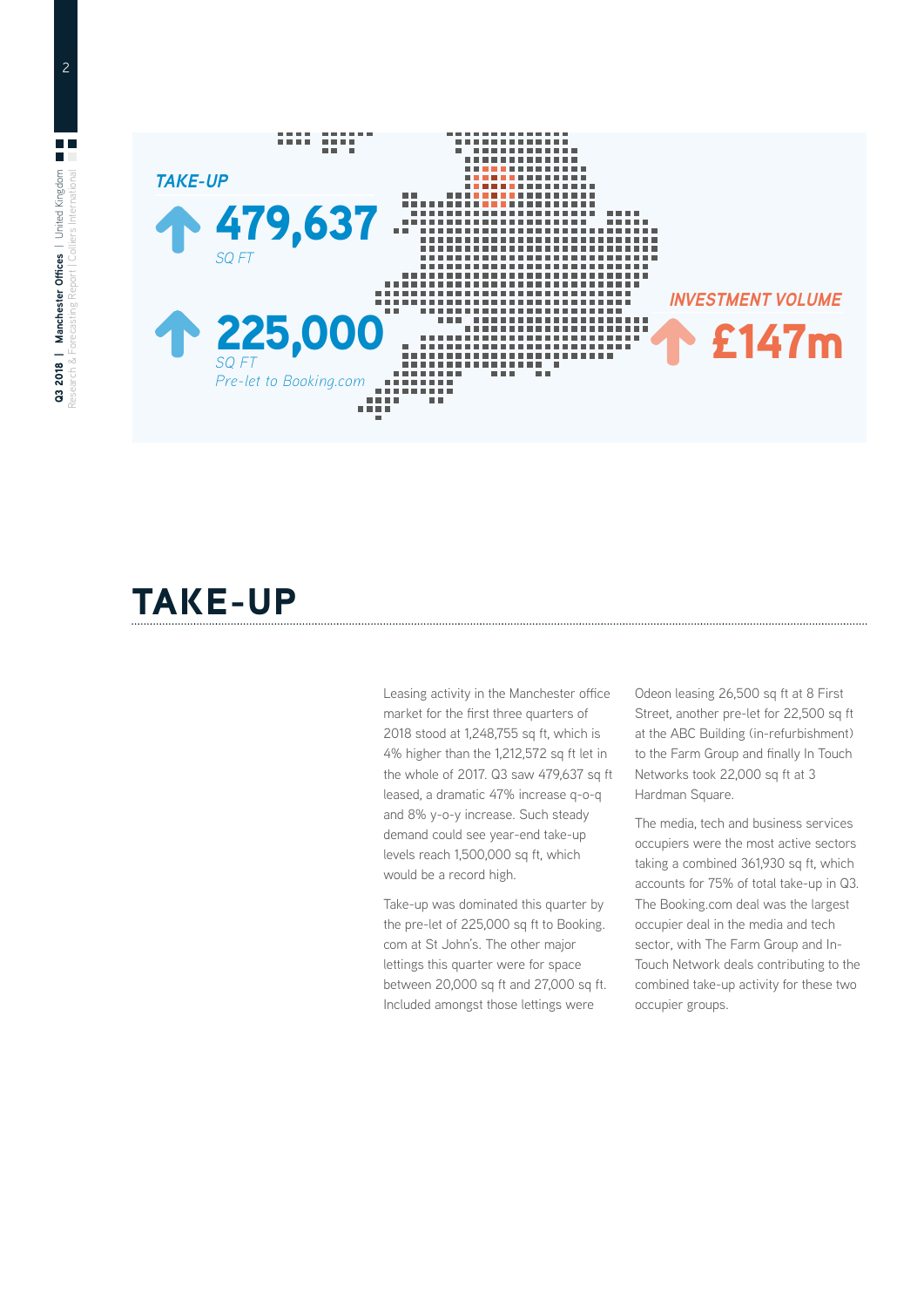

## TAKE-UP

Leasing activity in the Manchester office market for the first three quarters of 2018 stood at 1,248,755 sq ft, which is 4% higher than the 1,212,572 sq ft let in the whole of 2017. Q3 saw 479,637 sq ft leased, a dramatic 47% increase q-o-q and 8% y-o-y increase. Such steady demand could see year-end take-up levels reach 1,500,000 sq ft, which would be a record high.

Take-up was dominated this quarter by the pre-let of 225,000 sq ft to Booking. com at St John's. The other major lettings this quarter were for space between 20,000 sq ft and 27,000 sq ft. Included amongst those lettings were

Odeon leasing 26,500 sq ft at 8 First Street, another pre-let for 22,500 sq ft at the ABC Building (in-refurbishment) to the Farm Group and finally In Touch Networks took 22,000 sq ft at 3 Hardman Square.

The media, tech and business services occupiers were the most active sectors taking a combined 361,930 sq ft, which accounts for 75% of total take-up in Q3. The Booking.com deal was the largest occupier deal in the media and tech sector, with The Farm Group and In-Touch Network deals contributing to the combined take-up activity for these two occupier groups.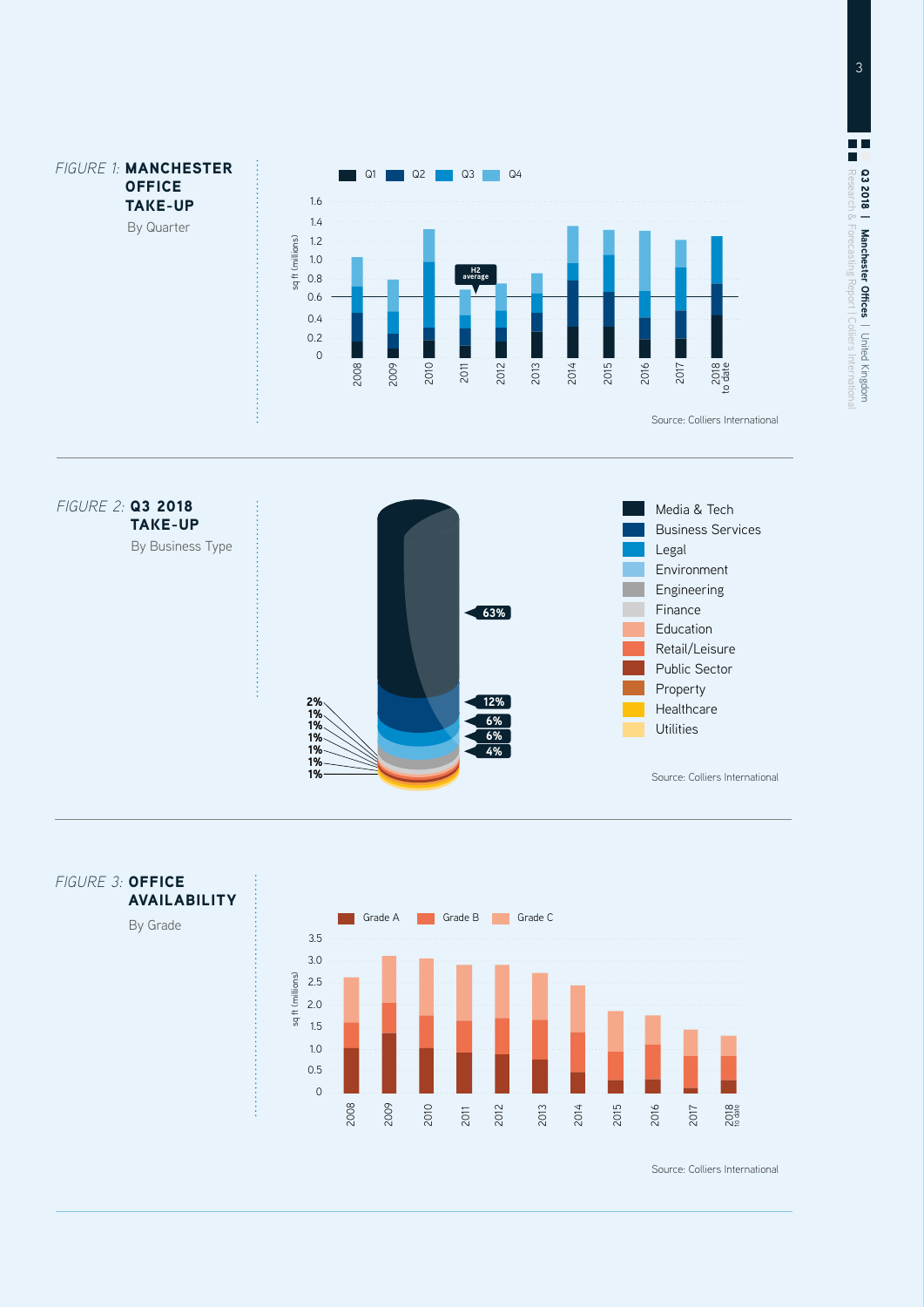







Source: Colliers International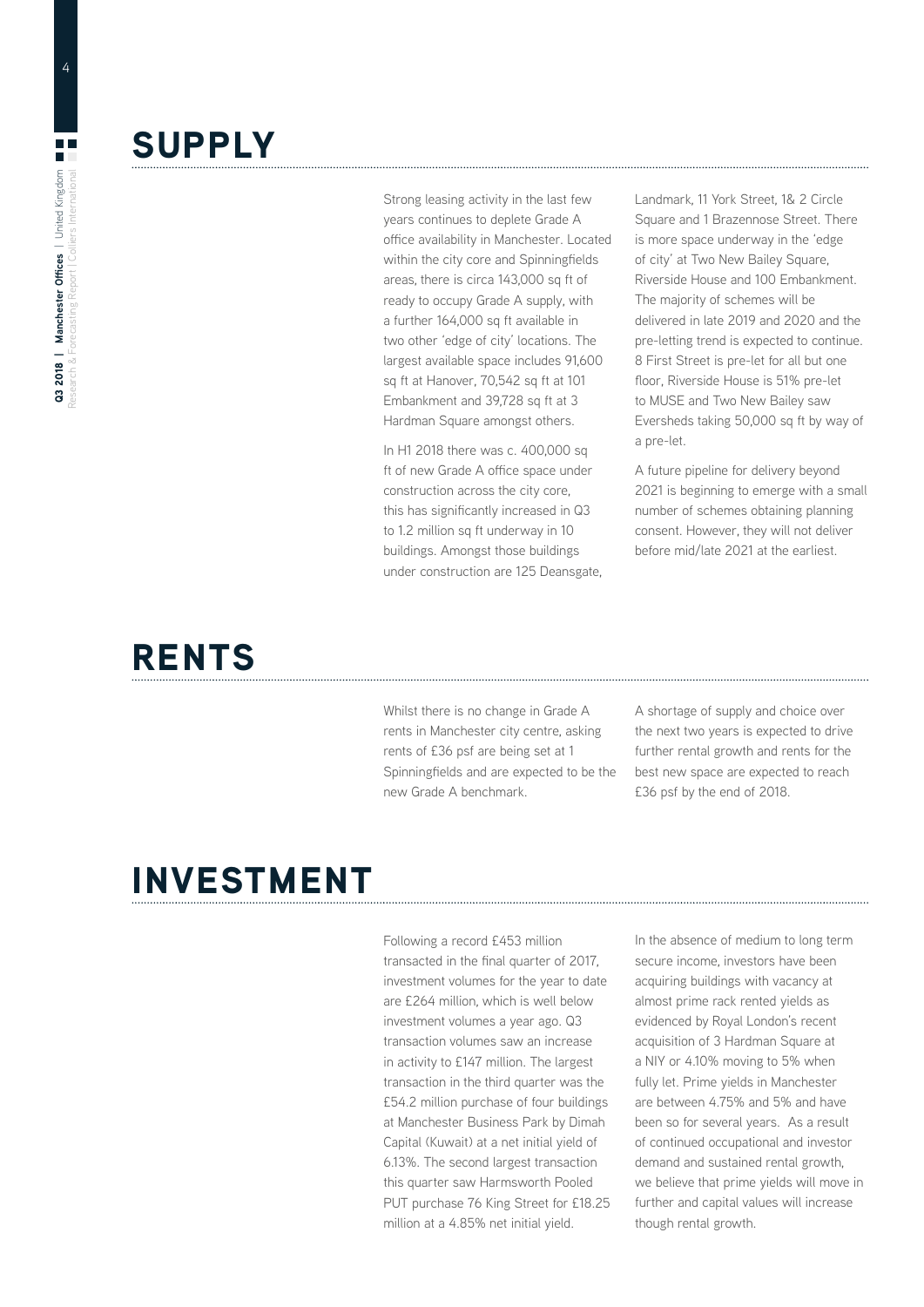#### **SUPPLY**

Strong leasing activity in the last few years continues to deplete Grade A office availability in Manchester. Located within the city core and Spinningfields areas, there is circa 143,000 sq ft of ready to occupy Grade A supply, with a further 164,000 sq ft available in two other 'edge of city' locations. The largest available space includes 91,600 sq ft at Hanover, 70,542 sq ft at 101 Embankment and 39,728 sq ft at 3 Hardman Square amongst others.

In H1 2018 there was c. 400,000 sq ft of new Grade A office space under construction across the city core, this has significantly increased in Q3 to 1.2 million sq ft underway in 10 buildings. Amongst those buildings under construction are 125 Deansgate, Landmark, 11 York Street, 1& 2 Circle Square and 1 Brazennose Street. There is more space underway in the 'edge of city' at Two New Bailey Square, Riverside House and 100 Embankment. The majority of schemes will be delivered in late 2019 and 2020 and the pre-letting trend is expected to continue. 8 First Street is pre-let for all but one floor, Riverside House is 51% pre-let to MUSE and Two New Bailey saw Eversheds taking 50,000 sq ft by way of a pre-let.

A future pipeline for delivery beyond 2021 is beginning to emerge with a small number of schemes obtaining planning consent. However, they will not deliver before mid/late 2021 at the earliest.

### RENTS

Whilst there is no change in Grade A rents in Manchester city centre, asking rents of £36 psf are being set at 1 Spinningfields and are expected to be the new Grade A benchmark.

A shortage of supply and choice over the next two years is expected to drive further rental growth and rents for the best new space are expected to reach £36 psf by the end of 2018.

### INVESTMENT

Following a record £453 million transacted in the final quarter of 2017, investment volumes for the year to date are £264 million, which is well below investment volumes a year ago. Q3 transaction volumes saw an increase in activity to £147 million. The largest transaction in the third quarter was the £54.2 million purchase of four buildings at Manchester Business Park by Dimah Capital (Kuwait) at a net initial yield of 6.13%. The second largest transaction this quarter saw Harmsworth Pooled PUT purchase 76 King Street for £18.25 million at a 4.85% net initial yield.

In the absence of medium to long term secure income, investors have been acquiring buildings with vacancy at almost prime rack rented yields as evidenced by Royal London's recent acquisition of 3 Hardman Square at a NIY or 4.10% moving to 5% when fully let. Prime yields in Manchester are between 4.75% and 5% and have been so for several years. As a result of continued occupational and investor demand and sustained rental growth, we believe that prime yields will move in further and capital values will increase though rental growth.

4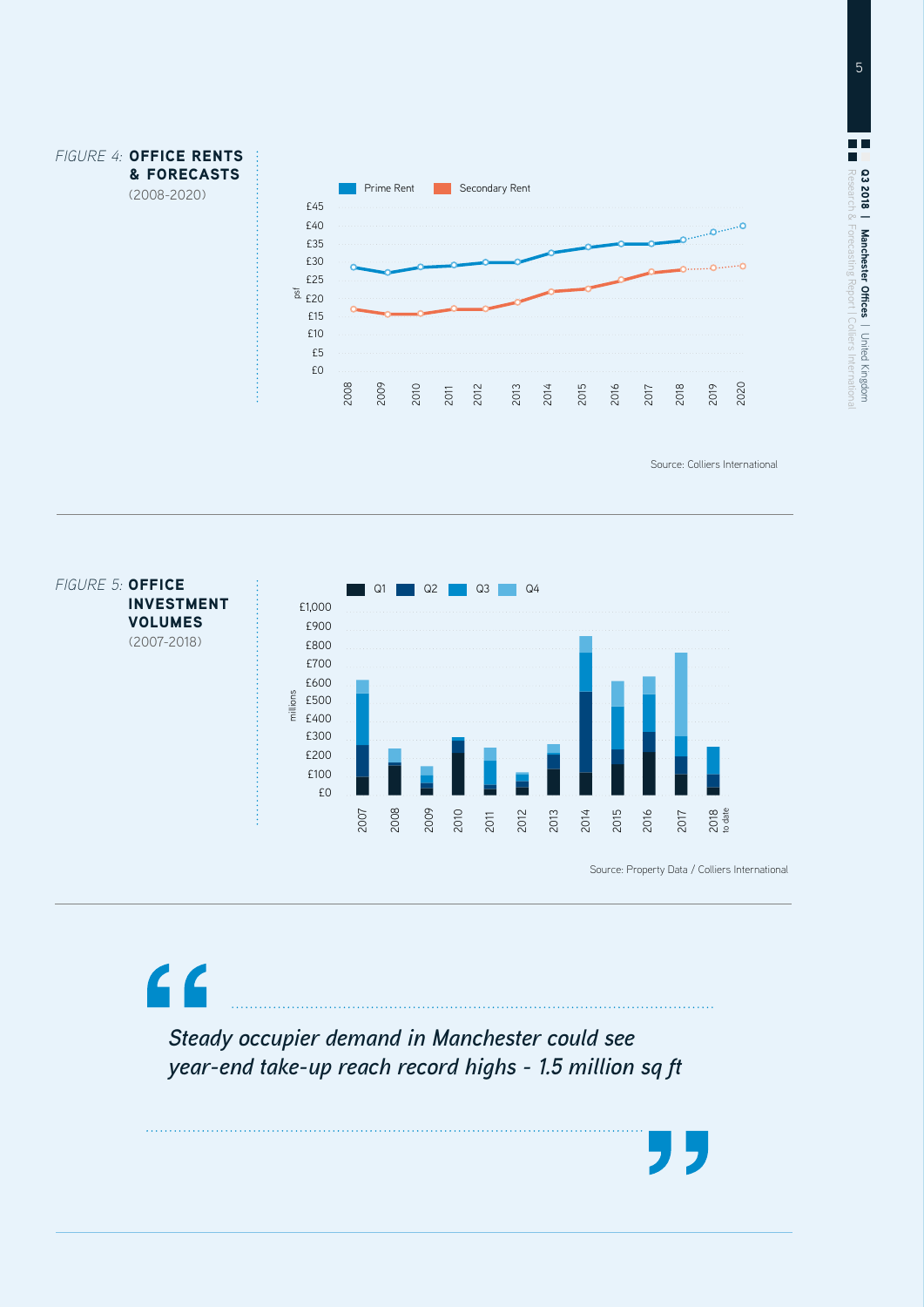

Source: Colliers International



*Steady occupier demand in Manchester could see year-end take-up reach record highs - 1.5 million sq ft*

 $\epsilon$